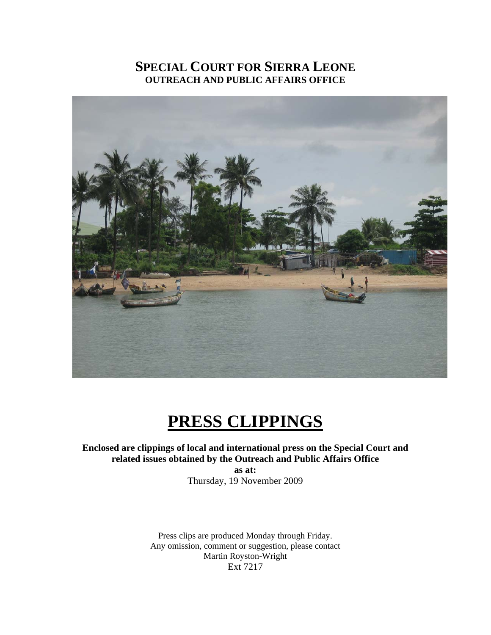# **SPECIAL COURT FOR SIERRA LEONE OUTREACH AND PUBLIC AFFAIRS OFFICE**



# **PRESS CLIPPINGS**

**Enclosed are clippings of local and international press on the Special Court and related issues obtained by the Outreach and Public Affairs Office** 

> **as at:**  Thursday, 19 November 2009

Press clips are produced Monday through Friday. Any omission, comment or suggestion, please contact Martin Royston-Wright Ext 7217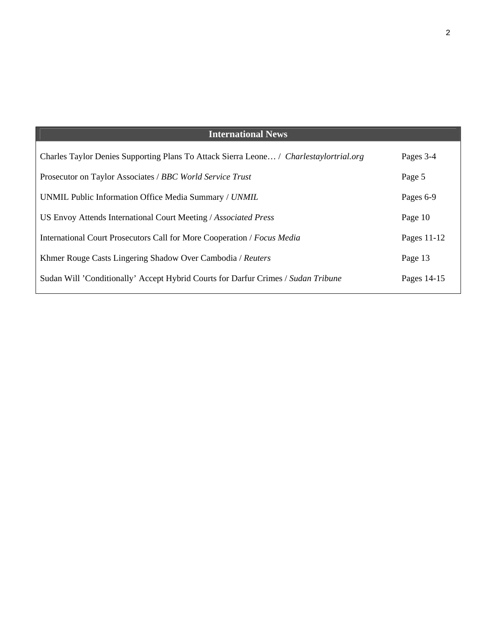| <b>International News</b>                                                              |             |
|----------------------------------------------------------------------------------------|-------------|
| Charles Taylor Denies Supporting Plans To Attack Sierra Leone / Charlestaylortrial.org | Pages 3-4   |
| Prosecutor on Taylor Associates / BBC World Service Trust                              | Page 5      |
| UNMIL Public Information Office Media Summary / UNMIL                                  | Pages 6-9   |
| US Envoy Attends International Court Meeting / Associated Press                        | Page 10     |
| International Court Prosecutors Call for More Cooperation / Focus Media                | Pages 11-12 |
| Khmer Rouge Casts Lingering Shadow Over Cambodia / Reuters                             | Page 13     |
| Sudan Will 'Conditionally' Accept Hybrid Courts for Darfur Crimes / Sudan Tribune      | Pages 14-15 |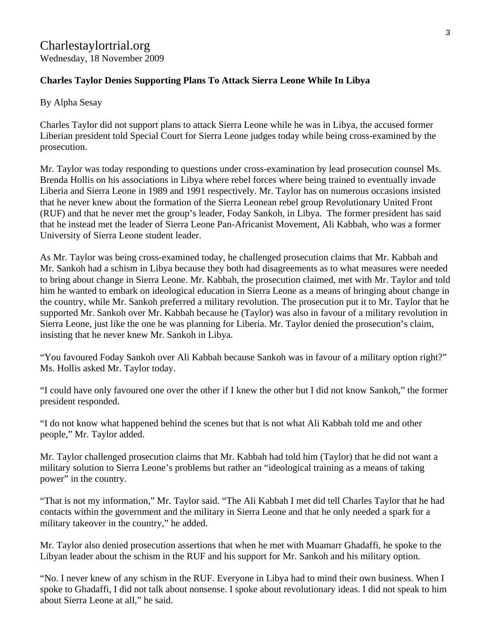## **Charles Taylor Denies Supporting Plans To Attack Sierra Leone While In Libya**

By Alpha Sesay

Charles Taylor did not support plans to attack Sierra Leone while he was in Libya, the accused former Liberian president told Special Court for Sierra Leone judges today while being cross-examined by the prosecution.

Mr. Taylor was today responding to questions under cross-examination by lead prosecution counsel Ms. Brenda Hollis on his associations in Libya where rebel forces where being trained to eventually invade Liberia and Sierra Leone in 1989 and 1991 respectively. Mr. Taylor has on numerous occasions insisted that he never knew about the formation of the Sierra Leonean rebel group Revolutionary United Front (RUF) and that he never met the group's leader, Foday Sankoh, in Libya. The former president has said that he instead met the leader of Sierra Leone Pan-Africanist Movement, Ali Kabbah, who was a former University of Sierra Leone student leader.

As Mr. Taylor was being cross-examined today, he challenged prosecution claims that Mr. Kabbah and Mr. Sankoh had a schism in Libya because they both had disagreements as to what measures were needed to bring about change in Sierra Leone. Mr. Kabbah, the prosecution claimed, met with Mr. Taylor and told him he wanted to embark on ideological education in Sierra Leone as a means of bringing about change in the country, while Mr. Sankoh preferred a military revolution. The prosecution put it to Mr. Taylor that he supported Mr. Sankoh over Mr. Kabbah because he (Taylor) was also in favour of a military revolution in Sierra Leone, just like the one he was planning for Liberia. Mr. Taylor denied the prosecution's claim, insisting that he never knew Mr. Sankoh in Libya.

"You favoured Foday Sankoh over Ali Kabbah because Sankoh was in favour of a military option right?" Ms. Hollis asked Mr. Taylor today.

"I could have only favoured one over the other if I knew the other but I did not know Sankoh," the former president responded.

"I do not know what happened behind the scenes but that is not what Ali Kabbah told me and other people," Mr. Taylor added.

Mr. Taylor challenged prosecution claims that Mr. Kabbah had told him (Taylor) that he did not want a military solution to Sierra Leone's problems but rather an "ideological training as a means of taking power" in the country.

"That is not my information," Mr. Taylor said. "The Ali Kabbah I met did tell Charles Taylor that he had contacts within the government and the military in Sierra Leone and that he only needed a spark for a military takeover in the country," he added.

Mr. Taylor also denied prosecution assertions that when he met with Muamarr Ghadaffi, he spoke to the Libyan leader about the schism in the RUF and his support for Mr. Sankoh and his military option.

"No. I never knew of any schism in the RUF. Everyone in Libya had to mind their own business. When I spoke to Ghadaffi, I did not talk about nonsense. I spoke about revolutionary ideas. I did not speak to him about Sierra Leone at all," he said.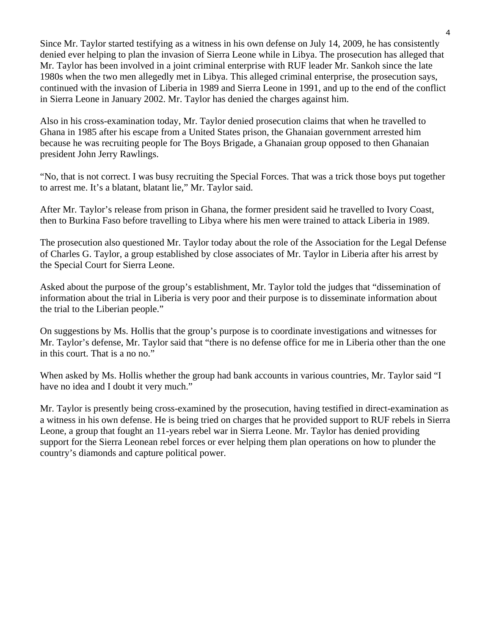Since Mr. Taylor started testifying as a witness in his own defense on July 14, 2009, he has consistently denied ever helping to plan the invasion of Sierra Leone while in Libya. The prosecution has alleged that Mr. Taylor has been involved in a joint criminal enterprise with RUF leader Mr. Sankoh since the late 1980s when the two men allegedly met in Libya. This alleged criminal enterprise, the prosecution says, continued with the invasion of Liberia in 1989 and Sierra Leone in 1991, and up to the end of the conflict in Sierra Leone in January 2002. Mr. Taylor has denied the charges against him.

Also in his cross-examination today, Mr. Taylor denied prosecution claims that when he travelled to Ghana in 1985 after his escape from a United States prison, the Ghanaian government arrested him because he was recruiting people for The Boys Brigade, a Ghanaian group opposed to then Ghanaian president John Jerry Rawlings.

"No, that is not correct. I was busy recruiting the Special Forces. That was a trick those boys put together to arrest me. It's a blatant, blatant lie," Mr. Taylor said.

After Mr. Taylor's release from prison in Ghana, the former president said he travelled to Ivory Coast, then to Burkina Faso before travelling to Libya where his men were trained to attack Liberia in 1989.

The prosecution also questioned Mr. Taylor today about the role of the Association for the Legal Defense of Charles G. Taylor, a group established by close associates of Mr. Taylor in Liberia after his arrest by the Special Court for Sierra Leone.

Asked about the purpose of the group's establishment, Mr. Taylor told the judges that "dissemination of information about the trial in Liberia is very poor and their purpose is to disseminate information about the trial to the Liberian people."

On suggestions by Ms. Hollis that the group's purpose is to coordinate investigations and witnesses for Mr. Taylor's defense, Mr. Taylor said that "there is no defense office for me in Liberia other than the one in this court. That is a no no."

When asked by Ms. Hollis whether the group had bank accounts in various countries, Mr. Taylor said "I have no idea and I doubt it very much."

Mr. Taylor is presently being cross-examined by the prosecution, having testified in direct-examination as a witness in his own defense. He is being tried on charges that he provided support to RUF rebels in Sierra Leone, a group that fought an 11-years rebel war in Sierra Leone. Mr. Taylor has denied providing support for the Sierra Leonean rebel forces or ever helping them plan operations on how to plunder the country's diamonds and capture political power.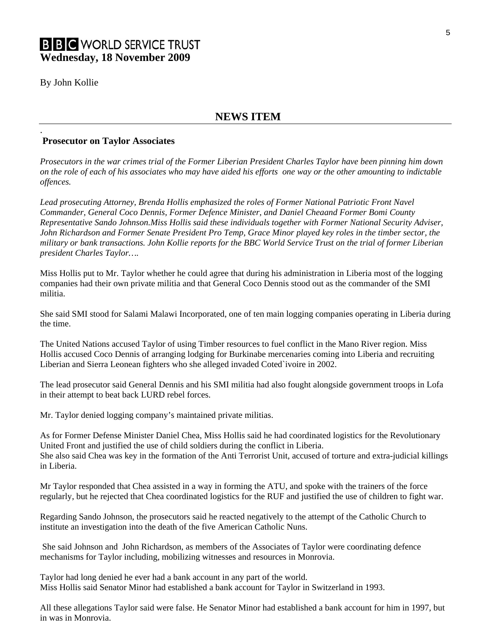By John Kollie

.

## **NEWS ITEM**

#### **Prosecutor on Taylor Associates**

*Prosecutors in the war crimes trial of the Former Liberian President Charles Taylor have been pinning him down on the role of each of his associates who may have aided his efforts one way or the other amounting to indictable offences.* 

*Lead prosecuting Attorney, Brenda Hollis emphasized the roles of Former National Patriotic Front Navel Commander, General Coco Dennis, Former Defence Minister, and Daniel Cheaand Former Bomi County Representative Sando Johnson.Miss Hollis said these individuals together with Former National Security Adviser, John Richardson and Former Senate President Pro Temp, Grace Minor played key roles in the timber sector, the military or bank transactions. John Kollie reports for the BBC World Service Trust on the trial of former Liberian president Charles Taylor….* 

Miss Hollis put to Mr. Taylor whether he could agree that during his administration in Liberia most of the logging companies had their own private militia and that General Coco Dennis stood out as the commander of the SMI militia.

She said SMI stood for Salami Malawi Incorporated, one of ten main logging companies operating in Liberia during the time.

The United Nations accused Taylor of using Timber resources to fuel conflict in the Mano River region. Miss Hollis accused Coco Dennis of arranging lodging for Burkinabe mercenaries coming into Liberia and recruiting Liberian and Sierra Leonean fighters who she alleged invaded Coted`ivoire in 2002.

The lead prosecutor said General Dennis and his SMI militia had also fought alongside government troops in Lofa in their attempt to beat back LURD rebel forces.

Mr. Taylor denied logging company's maintained private militias.

As for Former Defense Minister Daniel Chea, Miss Hollis said he had coordinated logistics for the Revolutionary United Front and justified the use of child soldiers during the conflict in Liberia. She also said Chea was key in the formation of the Anti Terrorist Unit, accused of torture and extra-judicial killings in Liberia.

Mr Taylor responded that Chea assisted in a way in forming the ATU, and spoke with the trainers of the force regularly, but he rejected that Chea coordinated logistics for the RUF and justified the use of children to fight war.

Regarding Sando Johnson, the prosecutors said he reacted negatively to the attempt of the Catholic Church to institute an investigation into the death of the five American Catholic Nuns.

 She said Johnson and John Richardson, as members of the Associates of Taylor were coordinating defence mechanisms for Taylor including, mobilizing witnesses and resources in Monrovia.

Taylor had long denied he ever had a bank account in any part of the world. Miss Hollis said Senator Minor had established a bank account for Taylor in Switzerland in 1993.

All these allegations Taylor said were false. He Senator Minor had established a bank account for him in 1997, but in was in Monrovia.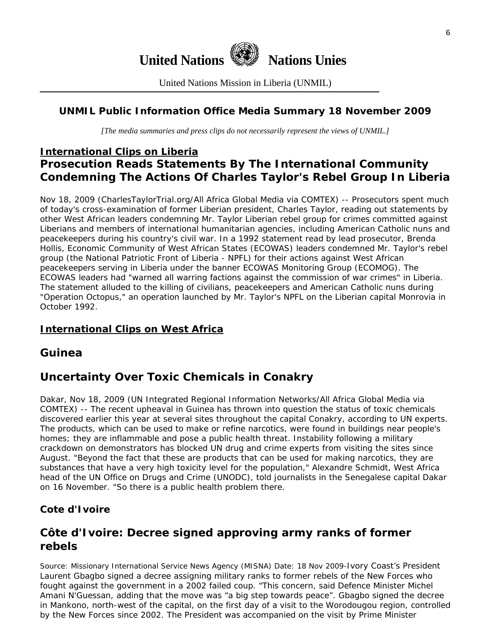

United Nations Mission in Liberia (UNMIL)

## **UNMIL Public Information Office Media Summary 18 November 2009**

*[The media summaries and press clips do not necessarily represent the views of UNMIL.]* 

# **International Clips on Liberia Prosecution Reads Statements By The International Community Condemning The Actions Of Charles Taylor's Rebel Group In Liberia**

Nov 18, 2009 (CharlesTaylorTrial.org/All Africa Global Media via COMTEX) -- Prosecutors spent much of today's cross-examination of former Liberian president, Charles Taylor, reading out statements by other West African leaders condemning Mr. Taylor Liberian rebel group for crimes committed against Liberians and members of international humanitarian agencies, including American Catholic nuns and peacekeepers during his country's civil war. In a 1992 statement read by lead prosecutor, Brenda Hollis, Economic Community of West African States (ECOWAS) leaders condemned Mr. Taylor's rebel group (the National Patriotic Front of Liberia - NPFL) for their actions against West African peacekeepers serving in Liberia under the banner ECOWAS Monitoring Group (ECOMOG). The ECOWAS leaders had "warned all warring factions against the commission of war crimes" in Liberia. The statement alluded to the killing of civilians, peacekeepers and American Catholic nuns during "Operation Octopus," an operation launched by Mr. Taylor's NPFL on the Liberian capital Monrovia in October 1992.

## **International Clips on West Africa**

# **Guinea**

# **Uncertainty Over Toxic Chemicals in Conakry**

Dakar, Nov 18, 2009 (UN Integrated Regional Information Networks/All Africa Global Media via COMTEX) -- The recent upheaval in Guinea has thrown into question the status of toxic chemicals discovered earlier this year at several sites throughout the capital Conakry, according to UN experts. The products, which can be used to make or refine narcotics, were found in buildings near people's homes; they are inflammable and pose a public health threat. Instability following a military crackdown on demonstrators has blocked UN drug and crime experts from visiting the sites since August. "Beyond the fact that these are products that can be used for making narcotics, they are substances that have a very high toxicity level for the population," Alexandre Schmidt, West Africa head of the UN Office on Drugs and Crime (UNODC), told journalists in the Senegalese capital Dakar on 16 November. "So there is a public health problem there.

## **Cote d'Ivoire**

# **Côte d'Ivoire: Decree signed approving army ranks of former rebels**

Source: Missionary International Service News Agency (MISNA) Date: 18 Nov 2009-Ivory Coast's President Laurent Gbagbo signed a decree assigning military ranks to former rebels of the New Forces who fought against the government in a 2002 failed coup. "This concern, said Defence Minister Michel Amani N'Guessan, adding that the move was "a big step towards peace". Gbagbo signed the decree in Mankono, north-west of the capital, on the first day of a visit to the Worodougou region, controlled by the New Forces since 2002. The President was accompanied on the visit by Prime Minister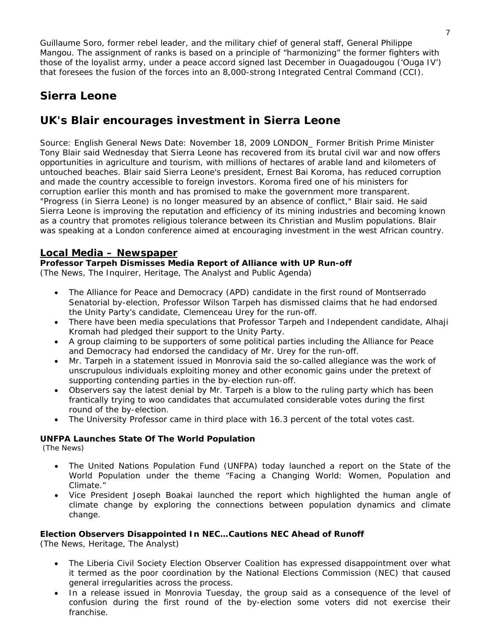Guillaume Soro, former rebel leader, and the military chief of general staff, General Philippe Mangou. The assignment of ranks is based on a principle of "harmonizing" the former fighters with those of the loyalist army, under a peace accord signed last December in Ouagadougou ('Ouga IV') that foresees the fusion of the forces into an 8,000-strong Integrated Central Command (CCI).

# **Sierra Leone**

# **UK's Blair encourages investment in Sierra Leone**

Source: English General News Date: November 18, 2009 LONDON\_ Former British Prime Minister Tony Blair said Wednesday that Sierra Leone has recovered from its brutal civil war and now offers opportunities in agriculture and tourism, with millions of hectares of arable land and kilometers of untouched beaches. Blair said Sierra Leone's president, Ernest Bai Koroma, has reduced corruption and made the country accessible to foreign investors. Koroma fired one of his ministers for corruption earlier this month and has promised to make the government more transparent. "Progress (in Sierra Leone) is no longer measured by an absence of conflict," Blair said. He said Sierra Leone is improving the reputation and efficiency of its mining industries and becoming known as a country that promotes religious tolerance between its Christian and Muslim populations. Blair was speaking at a London conference aimed at encouraging investment in the west African country.

### **Local Media – Newspaper**

#### **Professor Tarpeh Dismisses Media Report of Alliance with UP Run-off**

(The News, The Inquirer, Heritage, The Analyst and Public Agenda)

- The Alliance for Peace and Democracy (APD) candidate in the first round of Montserrado Senatorial by-election, Professor Wilson Tarpeh has dismissed claims that he had endorsed the Unity Party's candidate, Clemenceau Urey for the run-off.
- There have been media speculations that Professor Tarpeh and Independent candidate, Alhaji Kromah had pledged their support to the Unity Party.
- A group claiming to be supporters of some political parties including the Alliance for Peace and Democracy had endorsed the candidacy of Mr. Urey for the run-off.
- Mr. Tarpeh in a statement issued in Monrovia said the so-called allegiance was the work of unscrupulous individuals exploiting money and other economic gains under the pretext of supporting contending parties in the by-election run-off.
- Observers say the latest denial by Mr. Tarpeh is a blow to the ruling party which has been frantically trying to woo candidates that accumulated considerable votes during the first round of the by-election.
- The University Professor came in third place with 16.3 percent of the total votes cast.

#### **UNFPA Launches State Of The World Population**

(The News)

- The United Nations Population Fund (UNFPA) today launched a report on the State of the World Population under the theme "Facing a Changing World: Women, Population and Climate."
- Vice President Joseph Boakai launched the report which highlighted the human angle of climate change by exploring the connections between population dynamics and climate change.

#### **Election Observers Disappointed In NEC…Cautions NEC Ahead of Runoff**

(The News, Heritage, The Analyst)

- The Liberia Civil Society Election Observer Coalition has expressed disappointment over what it termed as the poor coordination by the National Elections Commission (NEC) that caused general irregularities across the process.
- In a release issued in Monrovia Tuesday, the group said as a consequence of the level of confusion during the first round of the by-election some voters did not exercise their franchise.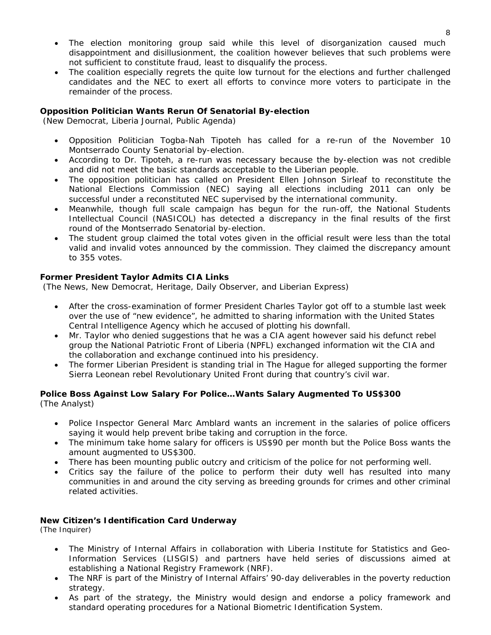- The election monitoring group said while this level of disorganization caused much disappointment and disillusionment, the coalition however believes that such problems were not sufficient to constitute fraud, least to disqualify the process.
- The coalition especially regrets the quite low turnout for the elections and further challenged candidates and the NEC to exert all efforts to convince more voters to participate in the remainder of the process.

#### **Opposition Politician Wants Rerun Of Senatorial By-election**

(New Democrat, Liberia Journal, Public Agenda)

- Opposition Politician Togba-Nah Tipoteh has called for a re-run of the November 10 Montserrado County Senatorial by-election.
- According to Dr. Tipoteh, a re-run was necessary because the by-election was not credible and did not meet the basic standards acceptable to the Liberian people.
- The opposition politician has called on President Ellen Johnson Sirleaf to reconstitute the National Elections Commission (NEC) saying all elections including 2011 can only be successful under a reconstituted NEC supervised by the international community.
- Meanwhile, though full scale campaign has begun for the run-off, the National Students Intellectual Council (NASICOL) has detected a discrepancy in the final results of the first round of the Montserrado Senatorial by-election.
- The student group claimed the total votes given in the official result were less than the total valid and invalid votes announced by the commission. They claimed the discrepancy amount to 355 votes.

#### **Former President Taylor Admits CIA Links**

(The News, New Democrat, Heritage, Daily Observer, and Liberian Express)

- After the cross-examination of former President Charles Taylor got off to a stumble last week over the use of "new evidence", he admitted to sharing information with the United States Central Intelligence Agency which he accused of plotting his downfall.
- Mr. Taylor who denied suggestions that he was a CIA agent however said his defunct rebel group the National Patriotic Front of Liberia (NPFL) exchanged information wit the CIA and the collaboration and exchange continued into his presidency.
- The former Liberian President is standing trial in The Hague for alleged supporting the former Sierra Leonean rebel Revolutionary United Front during that country's civil war.

#### **Police Boss Against Low Salary For Police…Wants Salary Augmented To US\$300**  (The Analyst)

- Police Inspector General Marc Amblard wants an increment in the salaries of police officers saying it would help prevent bribe taking and corruption in the force.
- The minimum take home salary for officers is US\$90 per month but the Police Boss wants the amount augmented to US\$300.
- There has been mounting public outcry and criticism of the police for not performing well.
- Critics say the failure of the police to perform their duty well has resulted into many communities in and around the city serving as breeding grounds for crimes and other criminal related activities.

#### **New Citizen's Identification Card Underway**

(The Inquirer)

- The Ministry of Internal Affairs in collaboration with Liberia Institute for Statistics and Geo-Information Services (LISGIS) and partners have held series of discussions aimed at establishing a National Registry Framework (NRF).
- The NRF is part of the Ministry of Internal Affairs' 90-day deliverables in the poverty reduction strategy.
- As part of the strategy, the Ministry would design and endorse a policy framework and standard operating procedures for a National Biometric Identification System.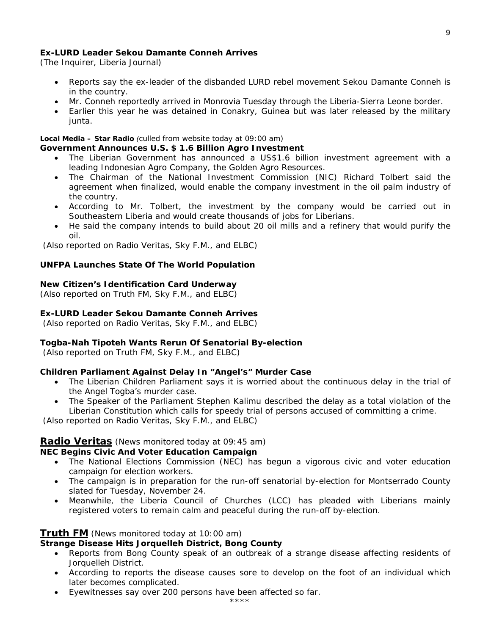#### **Ex-LURD Leader Sekou Damante Conneh Arrives**

(The Inquirer, Liberia Journal)

- Reports say the ex-leader of the disbanded LURD rebel movement Sekou Damante Conneh is in the country.
- Mr. Conneh reportedly arrived in Monrovia Tuesday through the Liberia-Sierra Leone border.
- Earlier this year he was detained in Conakry, Guinea but was later released by the military junta.

#### **Local Media – Star Radio** *(culled from website today at 09:00 am)*

#### **Government Announces U.S. \$ 1.6 Billion Agro Investment**

- The Liberian Government has announced a US\$1.6 billion investment agreement with a leading Indonesian Agro Company, the Golden Agro Resources.
- The Chairman of the National Investment Commission (NIC) Richard Tolbert said the agreement when finalized, would enable the company investment in the oil palm industry of the country.
- According to Mr. Tolbert, the investment by the company would be carried out in Southeastern Liberia and would create thousands of jobs for Liberians.
- He said the company intends to build about 20 oil mills and a refinery that would purify the oil.

 *(Also reported on Radio Veritas, Sky F.M., and ELBC)*

#### **UNFPA Launches State Of The World Population**

#### **New Citizen's Identification Card Underway**

*(Also reported on Truth FM, Sky F.M., and ELBC)*

#### **Ex-LURD Leader Sekou Damante Conneh Arrives**

 *(Also reported on Radio Veritas, Sky F.M., and ELBC)*

#### **Togba-Nah Tipoteh Wants Rerun Of Senatorial By-election**

 *(Also reported on Truth FM, Sky F.M., and ELBC)*

#### **Children Parliament Against Delay In "Angel's" Murder Case**

- The Liberian Children Parliament says it is worried about the continuous delay in the trial of the Angel Togba's murder case.
- The Speaker of the Parliament Stephen Kalimu described the delay as a total violation of the Liberian Constitution which calls for speedy trial of persons accused of committing a crime.

 *(Also reported on Radio Veritas, Sky F.M., and ELBC)*

#### **Radio Veritas** *(News monitored today at 09:45 am)*

#### **NEC Begins Civic And Voter Education Campaign**

- The National Elections Commission (NEC) has begun a vigorous civic and voter education campaign for election workers.
- The campaign is in preparation for the run-off senatorial by-election for Montserrado County slated for Tuesday, November 24.
- Meanwhile, the Liberia Council of Churches (LCC) has pleaded with Liberians mainly registered voters to remain calm and peaceful during the run-off by-election.

#### **Truth FM** *(News monitored today at 10:00 am)*

## **Strange Disease Hits Jorquelleh District, Bong County**

- Reports from Bong County speak of an outbreak of a strange disease affecting residents of Jorquelleh District.
- According to reports the disease causes sore to develop on the foot of an individual which later becomes complicated.
- Eyewitnesses say over 200 persons have been affected so far.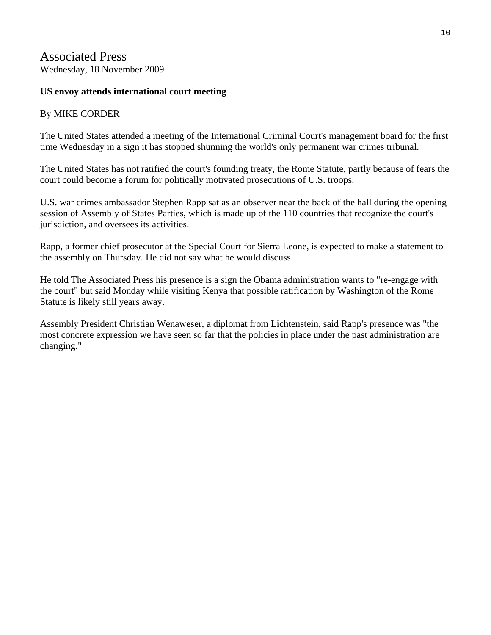## Associated Press Wednesday, 18 November 2009

## **US envoy attends international court meeting**

## By MIKE CORDER

The United States attended a meeting of the International Criminal Court's management board for the first time Wednesday in a sign it has stopped shunning the world's only permanent war crimes tribunal.

The United States has not ratified the court's founding treaty, the Rome Statute, partly because of fears the court could become a forum for politically motivated prosecutions of U.S. troops.

U.S. war crimes ambassador Stephen Rapp sat as an observer near the back of the hall during the opening session of Assembly of States Parties, which is made up of the 110 countries that recognize the court's jurisdiction, and oversees its activities.

Rapp, a former chief prosecutor at the Special Court for Sierra Leone, is expected to make a statement to the assembly on Thursday. He did not say what he would discuss.

He told The Associated Press his presence is a sign the Obama administration wants to "re-engage with the court" but said Monday while visiting Kenya that possible ratification by Washington of the Rome Statute is likely still years away.

Assembly President Christian Wenaweser, a diplomat from Lichtenstein, said Rapp's presence was "the most concrete expression we have seen so far that the policies in place under the past administration are changing."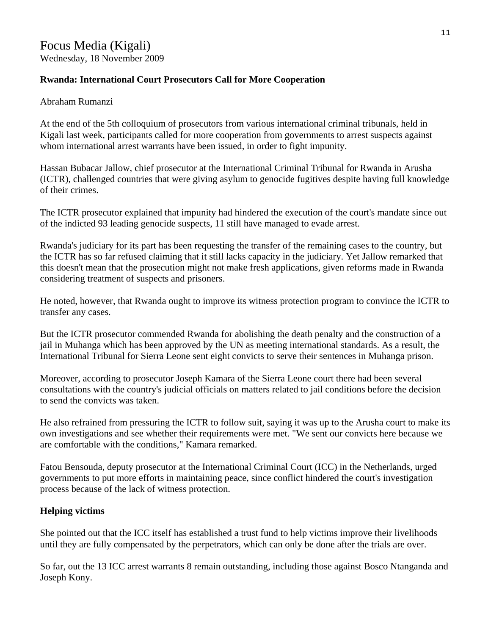# Focus Media (Kigali)

Wednesday, 18 November 2009

## **Rwanda: International Court Prosecutors Call for More Cooperation**

### Abraham Rumanzi

At the end of the 5th colloquium of prosecutors from various international criminal tribunals, held in Kigali last week, participants called for more cooperation from governments to arrest suspects against whom international arrest warrants have been issued, in order to fight impunity.

Hassan Bubacar Jallow, chief prosecutor at the International Criminal Tribunal for Rwanda in Arusha (ICTR), challenged countries that were giving asylum to genocide fugitives despite having full knowledge of their crimes.

The ICTR prosecutor explained that impunity had hindered the execution of the court's mandate since out of the indicted 93 leading genocide suspects, 11 still have managed to evade arrest.

Rwanda's judiciary for its part has been requesting the transfer of the remaining cases to the country, but the ICTR has so far refused claiming that it still lacks capacity in the judiciary. Yet Jallow remarked that this doesn't mean that the prosecution might not make fresh applications, given reforms made in Rwanda considering treatment of suspects and prisoners.

He noted, however, that Rwanda ought to improve its witness protection program to convince the ICTR to transfer any cases.

But the ICTR prosecutor commended Rwanda for abolishing the death penalty and the construction of a jail in Muhanga which has been approved by the UN as meeting international standards. As a result, the International Tribunal for Sierra Leone sent eight convicts to serve their sentences in Muhanga prison.

Moreover, according to prosecutor Joseph Kamara of the Sierra Leone court there had been several consultations with the country's judicial officials on matters related to jail conditions before the decision to send the convicts was taken.

He also refrained from pressuring the ICTR to follow suit, saying it was up to the Arusha court to make its own investigations and see whether their requirements were met. "We sent our convicts here because we are comfortable with the conditions," Kamara remarked.

Fatou Bensouda, deputy prosecutor at the International Criminal Court (ICC) in the Netherlands, urged governments to put more efforts in maintaining peace, since conflict hindered the court's investigation process because of the lack of witness protection.

## **Helping victims**

She pointed out that the ICC itself has established a trust fund to help victims improve their livelihoods until they are fully compensated by the perpetrators, which can only be done after the trials are over.

So far, out the 13 ICC arrest warrants 8 remain outstanding, including those against Bosco Ntanganda and Joseph Kony.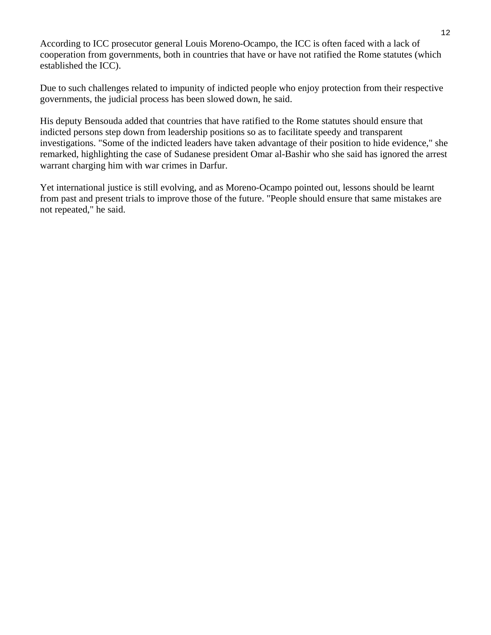According to ICC prosecutor general Louis Moreno-Ocampo, the ICC is often faced with a lack of cooperation from governments, both in countries that have or have not ratified the Rome statutes (which established the ICC).

Due to such challenges related to impunity of indicted people who enjoy protection from their respective governments, the judicial process has been slowed down, he said.

His deputy Bensouda added that countries that have ratified to the Rome statutes should ensure that indicted persons step down from leadership positions so as to facilitate speedy and transparent investigations. "Some of the indicted leaders have taken advantage of their position to hide evidence," she remarked, highlighting the case of Sudanese president Omar al-Bashir who she said has ignored the arrest warrant charging him with war crimes in Darfur.

Yet international justice is still evolving, and as Moreno-Ocampo pointed out, lessons should be learnt from past and present trials to improve those of the future. "People should ensure that same mistakes are not repeated," he said.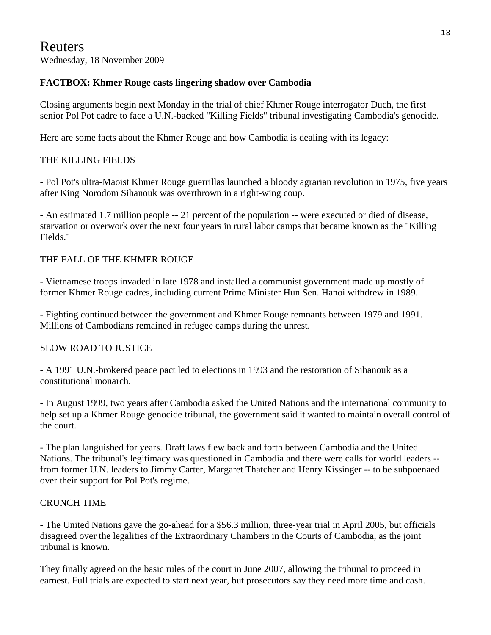# Reuters

Wednesday, 18 November 2009

## **FACTBOX: Khmer Rouge casts lingering shadow over Cambodia**

Closing arguments begin next Monday in the trial of chief Khmer Rouge interrogator Duch, the first senior Pol Pot cadre to face a U.N.-backed "Killing Fields" tribunal investigating Cambodia's genocide.

Here are some facts about the Khmer Rouge and how Cambodia is dealing with its legacy:

## THE KILLING FIELDS

- Pol Pot's ultra-Maoist Khmer Rouge guerrillas launched a bloody agrarian revolution in 1975, five years after King Norodom Sihanouk was overthrown in a right-wing coup.

- An estimated 1.7 million people -- 21 percent of the population -- were executed or died of disease, starvation or overwork over the next four years in rural labor camps that became known as the "Killing Fields."

## THE FALL OF THE KHMER ROUGE

- Vietnamese troops invaded in late 1978 and installed a communist government made up mostly of former Khmer Rouge cadres, including current Prime Minister Hun Sen. Hanoi withdrew in 1989.

- Fighting continued between the government and Khmer Rouge remnants between 1979 and 1991. Millions of Cambodians remained in refugee camps during the unrest.

## SLOW ROAD TO JUSTICE

- A 1991 U.N.-brokered peace pact led to elections in 1993 and the restoration of Sihanouk as a constitutional monarch.

- In August 1999, two years after Cambodia asked the United Nations and the international community to help set up a Khmer Rouge genocide tribunal, the government said it wanted to maintain overall control of the court.

- The plan languished for years. Draft laws flew back and forth between Cambodia and the United Nations. The tribunal's legitimacy was questioned in Cambodia and there were calls for world leaders - from former U.N. leaders to Jimmy Carter, Margaret Thatcher and Henry Kissinger -- to be subpoenaed over their support for Pol Pot's regime.

## CRUNCH TIME

- The United Nations gave the go-ahead for a \$56.3 million, three-year trial in April 2005, but officials disagreed over the legalities of the Extraordinary Chambers in the Courts of Cambodia, as the joint tribunal is known.

They finally agreed on the basic rules of the court in June 2007, allowing the tribunal to proceed in earnest. Full trials are expected to start next year, but prosecutors say they need more time and cash.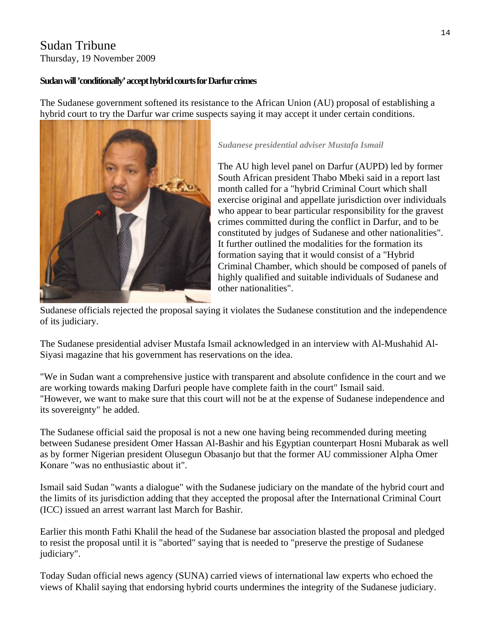# Sudan Tribune

Thursday, 19 November 2009

## **Sudan will 'conditionally' accept hybrid courts for Darfur crimes**

The Sudanese government softened its resistance to the African Union (AU) proposal of establishing a hybrid court to try the Darfur war crime suspects saying it may accept it under certain conditions.



#### *Sudanese presidential adviser Mustafa Ismail*

The AU high level panel on Darfur (AUPD) led by former South African president Thabo Mbeki said in a report last month called for a "hybrid Criminal Court which shall exercise original and appellate jurisdiction over individuals who appear to bear particular responsibility for the gravest crimes committed during the conflict in Darfur, and to be constituted by judges of Sudanese and other nationalities". It further outlined the modalities for the formation its formation saying that it would consist of a "Hybrid Criminal Chamber, which should be composed of panels of highly qualified and suitable individuals of Sudanese and other nationalities".

Sudanese officials rejected the proposal saying it violates the Sudanese constitution and the independence of its judiciary.

The Sudanese presidential adviser Mustafa Ismail acknowledged in an interview with Al-Mushahid Al-Siyasi magazine that his government has reservations on the idea.

"We in Sudan want a comprehensive justice with transparent and absolute confidence in the court and we are working towards making Darfuri people have complete faith in the court" Ismail said. "However, we want to make sure that this court will not be at the expense of Sudanese independence and its sovereignty" he added.

The Sudanese official said the proposal is not a new one having being recommended during meeting between Sudanese president Omer Hassan Al-Bashir and his Egyptian counterpart Hosni Mubarak as well as by former Nigerian president Olusegun Obasanjo but that the former AU commissioner Alpha Omer Konare "was no enthusiastic about it".

Ismail said Sudan "wants a dialogue" with the Sudanese judiciary on the mandate of the hybrid court and the limits of its jurisdiction adding that they accepted the proposal after the International Criminal Court (ICC) issued an arrest warrant last March for Bashir.

Earlier this month Fathi Khalil the head of the Sudanese bar association blasted the proposal and pledged to resist the proposal until it is "aborted" saying that is needed to "preserve the prestige of Sudanese judiciary".

Today Sudan official news agency (SUNA) carried views of international law experts who echoed the views of Khalil saying that endorsing hybrid courts undermines the integrity of the Sudanese judiciary.